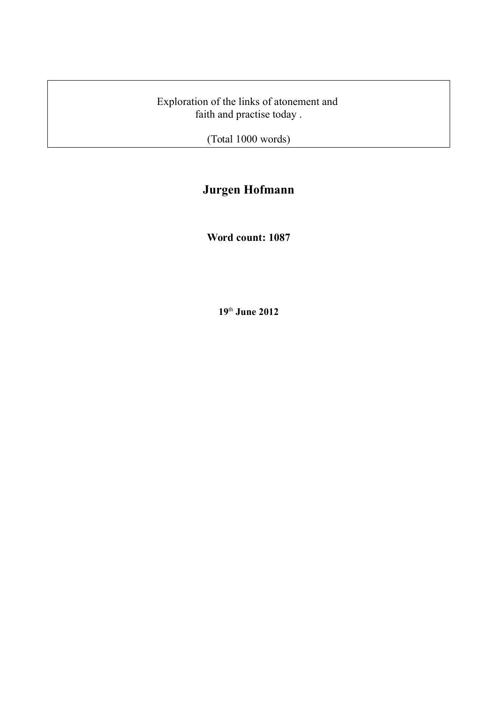Exploration of the links of atonement and faith and practise today .

(Total 1000 words)

# **Jurgen Hofmann**

**Word count: 1087**

**19**th **June 2012**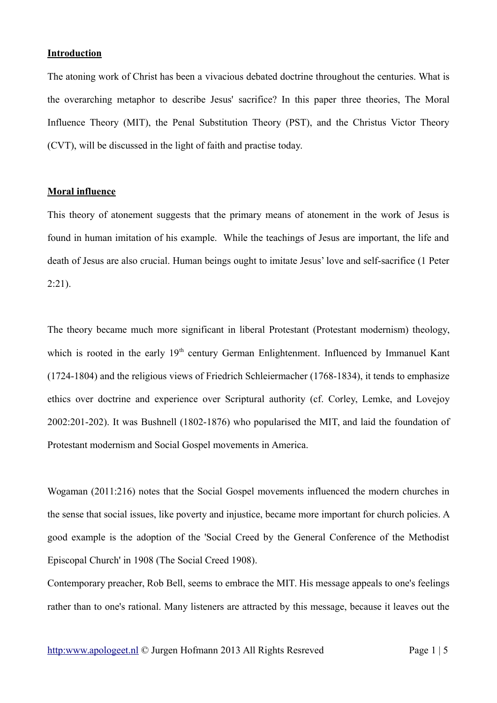## **Introduction**

The atoning work of Christ has been a vivacious debated doctrine throughout the centuries. What is the overarching metaphor to describe Jesus' sacrifice? In this paper three theories, The Moral Influence Theory (MIT), the Penal Substitution Theory (PST), and the Christus Victor Theory (CVT), will be discussed in the light of faith and practise today.

# **Moral influence**

This theory of atonement suggests that the primary means of atonement in the work of Jesus is found in human imitation of his example. While the teachings of Jesus are important, the life and death of Jesus are also crucial. Human beings ought to imitate Jesus' love and self-sacrifice (1 Peter  $2:21$ ).

The theory became much more significant in liberal Protestant (Protestant modernism) theology, which is rooted in the early 19<sup>th</sup> century German Enlightenment. Influenced by Immanuel Kant (1724-1804) and the religious views of Friedrich Schleiermacher (1768-1834), it tends to emphasize ethics over doctrine and experience over Scriptural authority (cf. Corley, Lemke, and Lovejoy 2002:201-202). It was Bushnell (1802-1876) who popularised the MIT, and laid the foundation of Protestant modernism and Social Gospel movements in America.

Wogaman (2011:216) notes that the Social Gospel movements influenced the modern churches in the sense that social issues, like poverty and injustice, became more important for church policies. A good example is the adoption of the 'Social Creed by the General Conference of the Methodist Episcopal Church' in 1908 (The Social Creed 1908).

Contemporary preacher, Rob Bell, seems to embrace the MIT. His message appeals to one's feelings rather than to one's rational. Many listeners are attracted by this message, because it leaves out the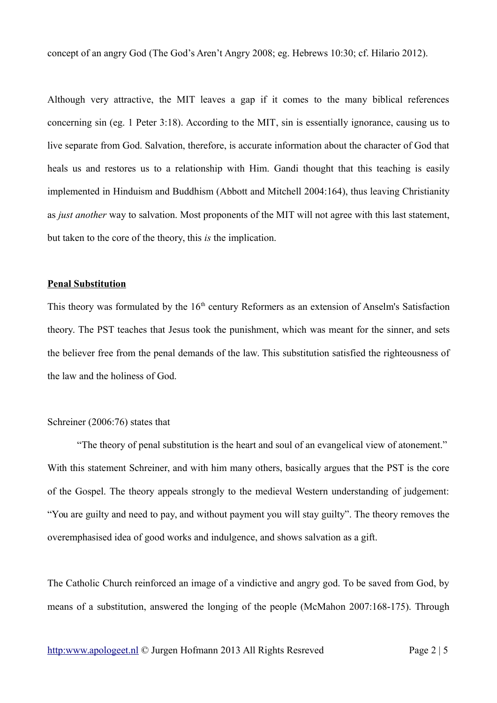concept of an angry God (The God's Aren't Angry 2008; eg. Hebrews 10:30; cf. Hilario 2012).

Although very attractive, the MIT leaves a gap if it comes to the many biblical references concerning sin (eg. 1 Peter 3:18). According to the MIT, sin is essentially ignorance, causing us to live separate from God. Salvation, therefore, is accurate information about the character of God that heals us and restores us to a relationship with Him. Gandi thought that this teaching is easily implemented in Hinduism and Buddhism (Abbott and Mitchell 2004:164), thus leaving Christianity as *just another* way to salvation. Most proponents of the MIT will not agree with this last statement, but taken to the core of the theory, this *is* the implication.

#### **Penal Substitution**

This theory was formulated by the 16<sup>th</sup> century Reformers as an extension of Anselm's Satisfaction theory. The PST teaches that Jesus took the punishment, which was meant for the sinner, and sets the believer free from the penal demands of the law. This substitution satisfied the righteousness of the law and the holiness of God.

## Schreiner (2006:76) states that

"The theory of penal substitution is the heart and soul of an evangelical view of atonement." With this statement Schreiner, and with him many others, basically argues that the PST is the core of the Gospel. The theory appeals strongly to the medieval Western understanding of judgement: "You are guilty and need to pay, and without payment you will stay guilty". The theory removes the overemphasised idea of good works and indulgence, and shows salvation as a gift.

The Catholic Church reinforced an image of a vindictive and angry god. To be saved from God, by means of a substitution, answered the longing of the people (McMahon 2007:168-175). Through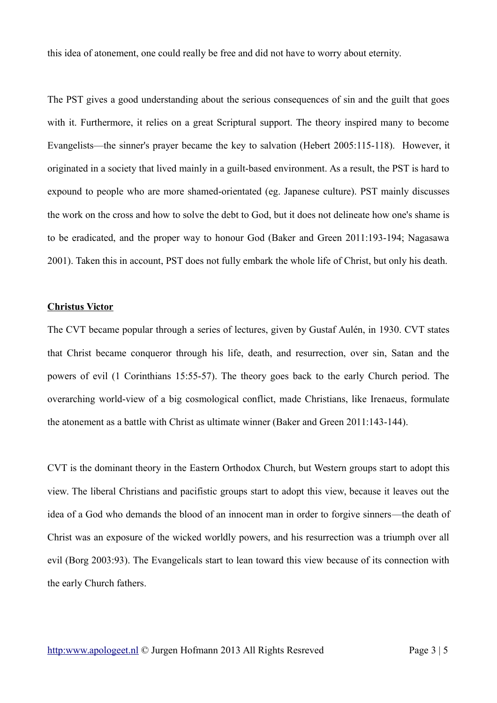this idea of atonement, one could really be free and did not have to worry about eternity.

The PST gives a good understanding about the serious consequences of sin and the guilt that goes with it. Furthermore, it relies on a great Scriptural support. The theory inspired many to become Evangelists—the sinner's prayer became the key to salvation (Hebert 2005:115-118). However, it originated in a society that lived mainly in a guilt-based environment. As a result, the PST is hard to expound to people who are more shamed-orientated (eg. Japanese culture). PST mainly discusses the work on the cross and how to solve the debt to God, but it does not delineate how one's shame is to be eradicated, and the proper way to honour God (Baker and Green 2011:193-194; Nagasawa 2001). Taken this in account, PST does not fully embark the whole life of Christ, but only his death.

### **Christus Victor**

The CVT became popular through a series of lectures, given by Gustaf Aulén, in 1930. CVT states that Christ became conqueror through his life, death, and resurrection, over sin, Satan and the powers of evil (1 Corinthians 15:55-57). The theory goes back to the early Church period. The overarching world-view of a big cosmological conflict, made Christians, like Irenaeus, formulate the atonement as a battle with Christ as ultimate winner (Baker and Green 2011:143-144).

CVT is the dominant theory in the Eastern Orthodox Church, but Western groups start to adopt this view. The liberal Christians and pacifistic groups start to adopt this view, because it leaves out the idea of a God who demands the blood of an innocent man in order to forgive sinners—the death of Christ was an exposure of the wicked worldly powers, and his resurrection was a triumph over all evil (Borg 2003:93). The Evangelicals start to lean toward this view because of its connection with the early Church fathers.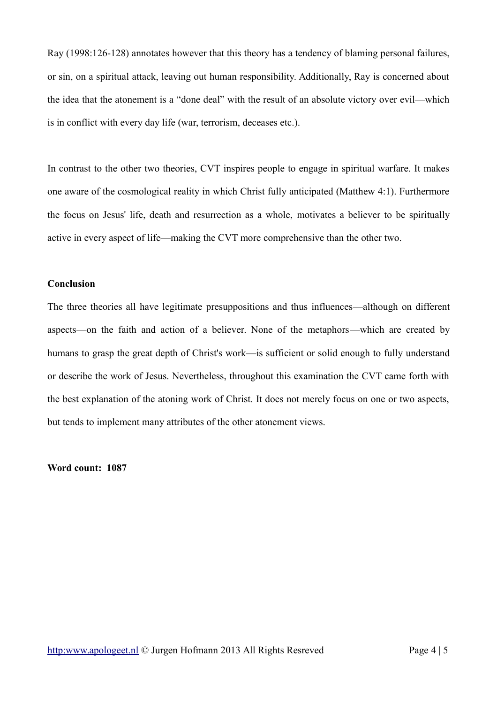Ray (1998:126-128) annotates however that this theory has a tendency of blaming personal failures, or sin, on a spiritual attack, leaving out human responsibility. Additionally, Ray is concerned about the idea that the atonement is a "done deal" with the result of an absolute victory over evil—which is in conflict with every day life (war, terrorism, deceases etc.).

In contrast to the other two theories, CVT inspires people to engage in spiritual warfare. It makes one aware of the cosmological reality in which Christ fully anticipated (Matthew 4:1). Furthermore the focus on Jesus' life, death and resurrection as a whole, motivates a believer to be spiritually active in every aspect of life—making the CVT more comprehensive than the other two.

### **Conclusion**

The three theories all have legitimate presuppositions and thus influences—although on different aspects—on the faith and action of a believer. None of the metaphors—which are created by humans to grasp the great depth of Christ's work—is sufficient or solid enough to fully understand or describe the work of Jesus. Nevertheless, throughout this examination the CVT came forth with the best explanation of the atoning work of Christ. It does not merely focus on one or two aspects, but tends to implement many attributes of the other atonement views.

**Word count: 1087**